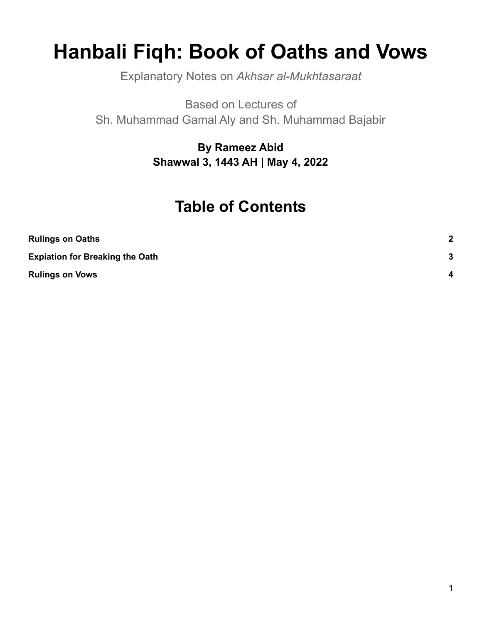# **Hanbali Fiqh: Book of Oaths and Vows**

Explanatory Notes on *Akhsar al-Mukhtasaraat*

Based on Lectures of Sh. Muhammad Gamal Aly and Sh. Muhammad Bajabir

> **By Rameez Abid Shawwal 3, 1443 AH | May 4, 2022**

## **Table of Contents**

| <b>Rulings on Oaths</b>                | $\mathbf{2}$     |
|----------------------------------------|------------------|
| <b>Expiation for Breaking the Oath</b> | 3                |
| <b>Rulings on Vows</b>                 | $\boldsymbol{A}$ |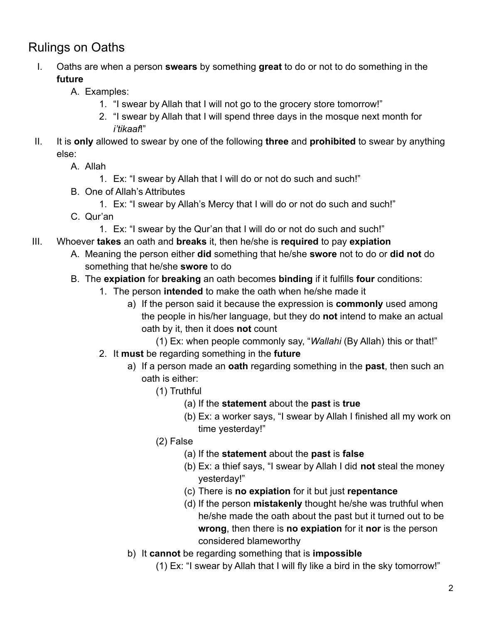#### <span id="page-1-0"></span>Rulings on Oaths

- I. Oaths are when a person **swears** by something **great** to do or not to do something in the **future**
	- A. Examples:
		- 1. "I swear by Allah that I will not go to the grocery store tomorrow!"
		- 2. "I swear by Allah that I will spend three days in the mosque next month for *i'tikaaf*!"
- II. It is **only** allowed to swear by one of the following **three** and **prohibited** to swear by anything else:
	- A. Allah
		- 1. Ex: "I swear by Allah that I will do or not do such and such!"
	- B. One of Allah's Attributes
		- 1. Ex: "I swear by Allah's Mercy that I will do or not do such and such!"
	- C. Qur'an
		- 1. Ex: "I swear by the Qur'an that I will do or not do such and such!"
- III. Whoever **takes** an oath and **breaks** it, then he/she is **required** to pay **expiation**
	- A. Meaning the person either **did** something that he/she **swore** not to do or **did not** do something that he/she **swore** to do
	- B. The **expiation** for **breaking** an oath becomes **binding** if it fulfills **four** conditions:
		- 1. The person **intended** to make the oath when he/she made it
			- a) If the person said it because the expression is **commonly** used among the people in his/her language, but they do **not** intend to make an actual oath by it, then it does **not** count
				- (1) Ex: when people commonly say, "*Wallahi* (By Allah) this or that!"
		- 2. It **must** be regarding something in the **future**
			- a) If a person made an **oath** regarding something in the **past**, then such an oath is either:
				- (1) Truthful
					- (a) If the **statement** about the **past** is **true**
					- (b) Ex: a worker says, "I swear by Allah I finished all my work on time yesterday!"
				- (2) False
					- (a) If the **statement** about the **past** is **false**
					- (b) Ex: a thief says, "I swear by Allah I did **not** steal the money yesterday!"
					- (c) There is **no expiation** for it but just **repentance**
					- (d) If the person **mistakenly** thought he/she was truthful when he/she made the oath about the past but it turned out to be **wrong**, then there is **no expiation** for it **nor** is the person considered blameworthy
			- b) It **cannot** be regarding something that is **impossible**
				- (1) Ex: "I swear by Allah that I will fly like a bird in the sky tomorrow!"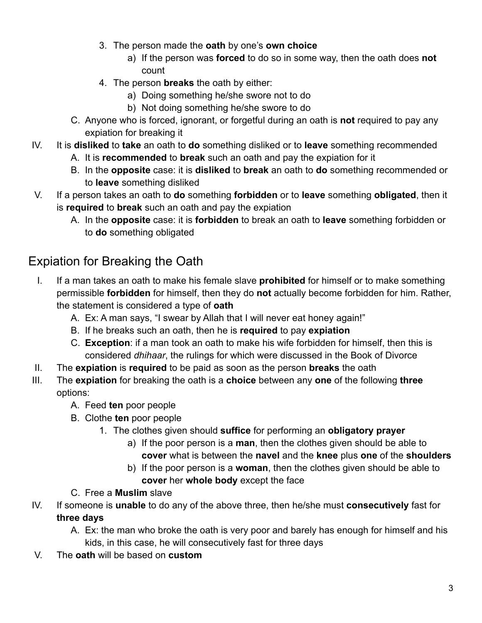- 3. The person made the **oath** by one's **own choice**
	- a) If the person was **forced** to do so in some way, then the oath does **not** count
- 4. The person **breaks** the oath by either:
	- a) Doing something he/she swore not to do
	- b) Not doing something he/she swore to do
- C. Anyone who is forced, ignorant, or forgetful during an oath is **not** required to pay any expiation for breaking it
- IV. It is **disliked** to **take** an oath to **do** something disliked or to **leave** something recommended
	- A. It is **recommended** to **break** such an oath and pay the expiation for it
	- B. In the **opposite** case: it is **disliked** to **break** an oath to **do** something recommended or to **leave** something disliked
- V. If a person takes an oath to **do** something **forbidden** or to **leave** something **obligated**, then it is **required** to **break** such an oath and pay the expiation
	- A. In the **opposite** case: it is **forbidden** to break an oath to **leave** something forbidden or to **do** something obligated

### <span id="page-2-0"></span>Expiation for Breaking the Oath

- I. If a man takes an oath to make his female slave **prohibited** for himself or to make something permissible **forbidden** for himself, then they do **not** actually become forbidden for him. Rather, the statement is considered a type of **oath**
	- A. Ex: A man says, "I swear by Allah that I will never eat honey again!"
	- B. If he breaks such an oath, then he is **required** to pay **expiation**
	- C. **Exception**: if a man took an oath to make his wife forbidden for himself, then this is considered *dhihaar*, the rulings for which were discussed in the Book of Divorce
- II. The **expiation** is **required** to be paid as soon as the person **breaks** the oath
- III. The **expiation** for breaking the oath is a **choice** between any **one** of the following **three** options:
	- A. Feed **ten** poor people
	- B. Clothe **ten** poor people
		- 1. The clothes given should **suffice** for performing an **obligatory prayer**
			- a) If the poor person is a **man**, then the clothes given should be able to **cover** what is between the **navel** and the **knee** plus **one** of the **shoulders**
			- b) If the poor person is a **woman**, then the clothes given should be able to **cover** her **whole body** except the face
	- C. Free a **Muslim** slave
- IV. If someone is **unable** to do any of the above three, then he/she must **consecutively** fast for **three days**
	- A. Ex: the man who broke the oath is very poor and barely has enough for himself and his kids, in this case, he will consecutively fast for three days
- V. The **oath** will be based on **custom**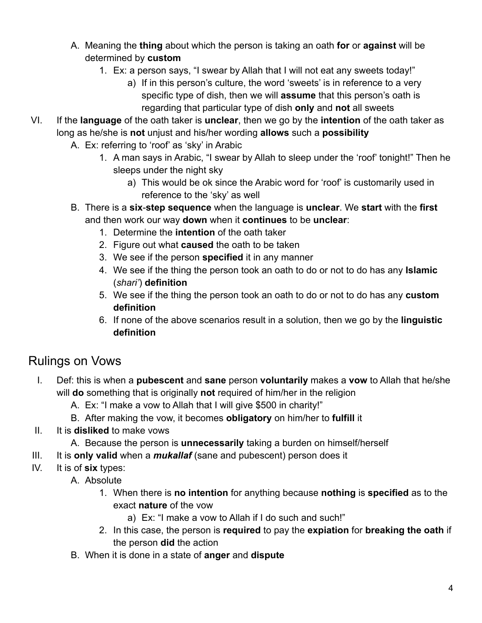- A. Meaning the **thing** about which the person is taking an oath **for** or **against** will be determined by **custom**
	- 1. Ex: a person says, "I swear by Allah that I will not eat any sweets today!"
		- a) If in this person's culture, the word 'sweets' is in reference to a very specific type of dish, then we will **assume** that this person's oath is regarding that particular type of dish **only** and **not** all sweets
- VI. If the **language** of the oath taker is **unclear**, then we go by the **intention** of the oath taker as long as he/she is **not** unjust and his/her wording **allows** such a **possibility**
	- A. Ex: referring to 'roof' as 'sky' in Arabic
		- 1. A man says in Arabic, "I swear by Allah to sleep under the 'roof' tonight!" Then he sleeps under the night sky
			- a) This would be ok since the Arabic word for 'roof' is customarily used in reference to the 'sky' as well
	- B. There is a **six**-**step sequence** when the language is **unclear**. We **start** with the **first** and then work our way **down** when it **continues** to be **unclear**:
		- 1. Determine the **intention** of the oath taker
		- 2. Figure out what **caused** the oath to be taken
		- 3. We see if the person **specified** it in any manner
		- 4. We see if the thing the person took an oath to do or not to do has any **Islamic** (*shari'*) **definition**
		- 5. We see if the thing the person took an oath to do or not to do has any **custom definition**
		- 6. If none of the above scenarios result in a solution, then we go by the **linguistic definition**

#### <span id="page-3-0"></span>Rulings on Vows

- I. Def: this is when a **pubescent** and **sane** person **voluntarily** makes a **vow** to Allah that he/she will **do** something that is originally **not** required of him/her in the religion
	- A. Ex: "I make a vow to Allah that I will give \$500 in charity!"
	- B. After making the vow, it becomes **obligatory** on him/her to **fulfill** it
- II. It is **disliked** to make vows
	- A. Because the person is **unnecessarily** taking a burden on himself/herself
- III. It is **only valid** when a *mukallaf* (sane and pubescent) person does it
- IV. It is of **six** types:
	- A. Absolute
		- 1. When there is **no intention** for anything because **nothing** is **specified** as to the exact **nature** of the vow
			- a) Ex: "I make a vow to Allah if I do such and such!"
		- 2. In this case, the person is **required** to pay the **expiation** for **breaking the oath** if the person **did** the action
	- B. When it is done in a state of **anger** and **dispute**